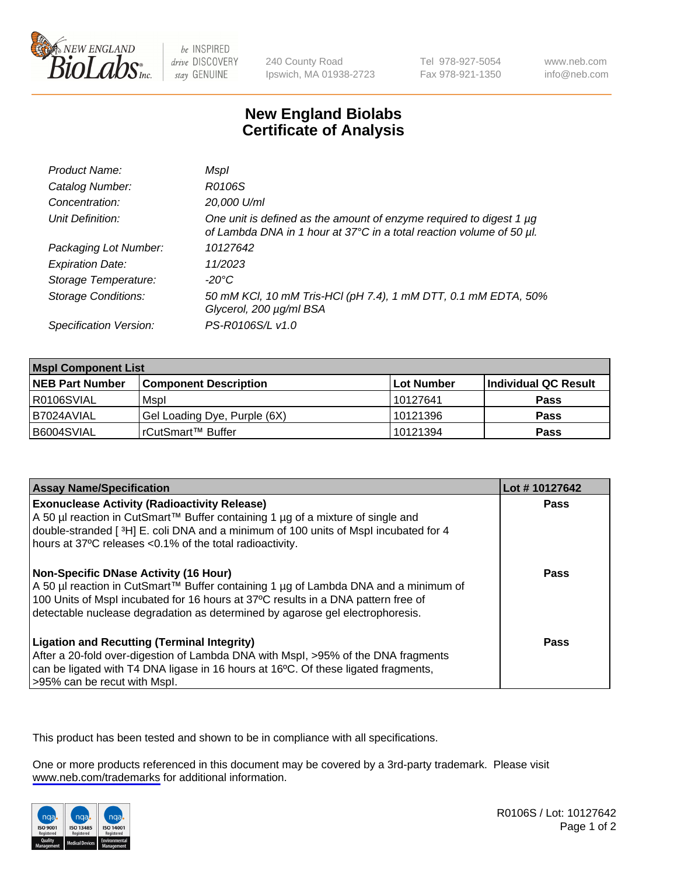

be INSPIRED drive DISCOVERY stay GENUINE

240 County Road Ipswich, MA 01938-2723 Tel 978-927-5054 Fax 978-921-1350

www.neb.com info@neb.com

## **New England Biolabs Certificate of Analysis**

| Product Name:              | Mspl                                                                                                                                             |
|----------------------------|--------------------------------------------------------------------------------------------------------------------------------------------------|
| Catalog Number:            | R0106S                                                                                                                                           |
| Concentration:             | 20,000 U/ml                                                                                                                                      |
| Unit Definition:           | One unit is defined as the amount of enzyme required to digest 1 $\mu$ g<br>of Lambda DNA in 1 hour at 37°C in a total reaction volume of 50 µl. |
| Packaging Lot Number:      | 10127642                                                                                                                                         |
| <b>Expiration Date:</b>    | 11/2023                                                                                                                                          |
| Storage Temperature:       | -20°C                                                                                                                                            |
| <b>Storage Conditions:</b> | 50 mM KCl, 10 mM Tris-HCl (pH 7.4), 1 mM DTT, 0.1 mM EDTA, 50%<br>Glycerol, 200 µg/ml BSA                                                        |
| Specification Version:     | PS-R0106S/L v1.0                                                                                                                                 |

| <b>Mspl Component List</b> |                              |            |                      |  |  |
|----------------------------|------------------------------|------------|----------------------|--|--|
| <b>NEB Part Number</b>     | <b>Component Description</b> | Lot Number | Individual QC Result |  |  |
| I R0106SVIAL               | Mspl                         | 10127641   | <b>Pass</b>          |  |  |
| I B7024AVIAL               | Gel Loading Dye, Purple (6X) | 10121396   | <b>Pass</b>          |  |  |
| B6004SVIAL                 | l rCutSmart™ Buffer          | 10121394   | <b>Pass</b>          |  |  |

| <b>Assay Name/Specification</b>                                                                                                                                                                                                                                                                      | Lot #10127642 |
|------------------------------------------------------------------------------------------------------------------------------------------------------------------------------------------------------------------------------------------------------------------------------------------------------|---------------|
| <b>Exonuclease Activity (Radioactivity Release)</b><br>A 50 µl reaction in CutSmart™ Buffer containing 1 µg of a mixture of single and<br>double-stranded [3H] E. coli DNA and a minimum of 100 units of Mspl incubated for 4<br>hours at 37°C releases <0.1% of the total radioactivity.            | Pass          |
| Non-Specific DNase Activity (16 Hour)<br>  A 50 µl reaction in CutSmart™ Buffer containing 1 µg of Lambda DNA and a minimum of<br>100 Units of Mspl incubated for 16 hours at 37°C results in a DNA pattern free of<br>detectable nuclease degradation as determined by agarose gel electrophoresis. | <b>Pass</b>   |
| <b>Ligation and Recutting (Terminal Integrity)</b><br>After a 20-fold over-digestion of Lambda DNA with Mspl, >95% of the DNA fragments<br>can be ligated with T4 DNA ligase in 16 hours at 16°C. Of these ligated fragments,<br>l>95% can be recut with Mspl.                                       | Pass          |

This product has been tested and shown to be in compliance with all specifications.

One or more products referenced in this document may be covered by a 3rd-party trademark. Please visit <www.neb.com/trademarks>for additional information.